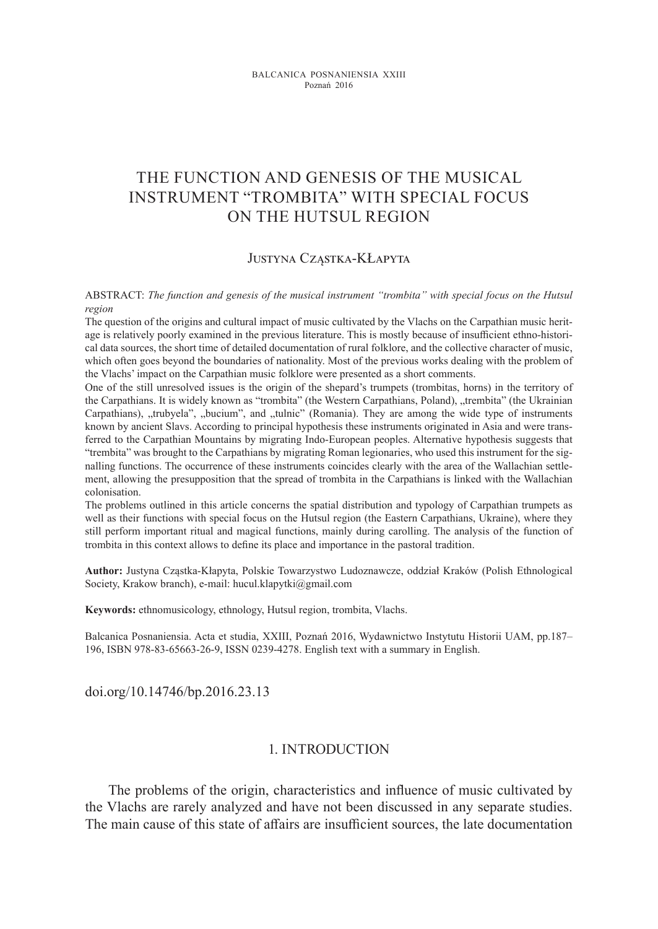# THE Function and genesis of THE MUSICAL INSTRUMENT "trombita" With special FOCUS ON THE HUTSUL REGION

#### Justyna Cząstka-KŁapyta

ABSTRACT: *The function and genesis of the musical instrument "trombita" with special focus on the Hutsul region*

The question of the origins and cultural impact of music cultivated by the Vlachs on the Carpathian music heritage is relatively poorly examined in the previous literature. This is mostly because of insufficient ethno-historical data sources, the short time of detailed documentation of rural folklore, and the collective character of music, which often goes beyond the boundaries of nationality. Most of the previous works dealing with the problem of the Vlachs' impact on the Carpathian music folklore were presented as a short comments.

One of the still unresolved issues is the origin of the shepard's trumpets (trombitas, horns) in the territory of the Carpathians. It is widely known as "trombita" (the Western Carpathians, Poland), "trembita" (the Ukrainian Carpathians), "trubyela", "bucium", and "tulnic" (Romania). They are among the wide type of instruments known by ancient Slavs. According to principal hypothesis these instruments originated in Asia and were transferred to the Carpathian Mountains by migrating Indo-European peoples. Alternative hypothesis suggests that "trembita" was brought to the Carpathians by migrating Roman legionaries, who used this instrument for the signalling functions. The occurrence of these instruments coincides clearly with the area of the Wallachian settlement, allowing the presupposition that the spread of trombita in the Carpathians is linked with the Wallachian colonisation.

The problems outlined in this article concerns the spatial distribution and typology of Carpathian trumpets as well as their functions with special focus on the Hutsul region (the Eastern Carpathians, Ukraine), where they still perform important ritual and magical functions, mainly during carolling. The analysis of the function of trombita in this context allows to define its place and importance in the pastoral tradition.

**Author:** Justyna Cząstka-Kłapyta, Polskie Towarzystwo Ludoznawcze, oddział Kraków (Polish Ethnological Society, Krakow branch), e-mail: hucul.klapytki@gmail.com

**Keywords:** ethnomusicology, ethnology, Hutsul region, trombita, Vlachs.

Balcanica Posnaniensia. Acta et studia, XXIII, Poznań 2016, Wydawnictwo Instytutu Historii UAM, pp.187– 196, ISBN 978-83-65663-26-9, ISSN 0239-4278. English text with a summary in English.

doi.org/10.14746/bp.2016.23.13

### 1. Introduction

The problems of the origin, characteristics and influence of music cultivated by the Vlachs are rarely analyzed and have not been discussed in any separate studies. The main cause of this state of affairs are insufficient sources, the late documentation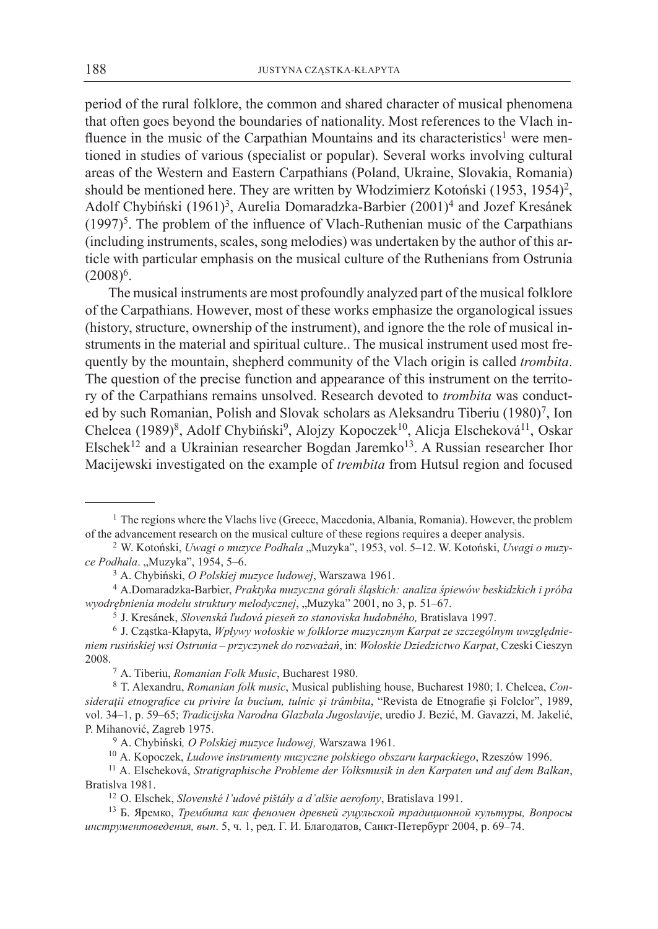period of the rural folklore, the common and shared character of musical phenomena that often goes beyond the boundaries of nationality. Most references to the Vlach influence in the music of the Carpathian Mountains and its characteristics<sup>1</sup> were mentioned in studies of various (specialist or popular). Several works involving cultural areas of the Western and Eastern Carpathians (Poland, Ukraine, Slovakia, Romania) should be mentioned here. They are written by Włodzimierz Kotoński (1953, 1954)<sup>2</sup>, Adolf Chybiński (1961)<sup>3</sup>, Aurelia Domaradzka-Barbier (2001)<sup>4</sup> and Jozef Kresánek  $(1997)^5$ . The problem of the influence of Vlach-Ruthenian music of the Carpathians (including instruments, scales, song melodies) was undertaken by the author of this article with particular emphasis on the musical culture of the Ruthenians from Ostrunia  $(2008)^6$ .

The musical instruments are most profoundly analyzed part of the musical folklore of the Carpathians. However, most of these works emphasize the organological issues (history, structure, ownership of the instrument), and ignore the the role of musical instruments in the material and spiritual culture.. The musical instrument used most frequently by the mountain, shepherd community of the Vlach origin is called *trombita*. The question of the precise function and appearance of this instrument on the territory of the Carpathians remains unsolved. Research devoted to *trombita* was conducted by such Romanian, Polish and Slovak scholars as Aleksandru Tiberiu (1980)<sup>7</sup>, Ion Chelcea (1989)<sup>8</sup>, Adolf Chybiński<sup>9</sup>, Alojzy Kopoczek<sup>10</sup>, Alicja Elscheková<sup>11</sup>, Oskar Elschek<sup>12</sup> and a Ukrainian researcher Bogdan Jaremko<sup>13</sup>. A Russian researcher Ihor Macijewski investigated on the example of *trembita* from Hutsul region and focused

<sup>&</sup>lt;sup>1</sup> The regions where the Vlachs live (Greece, Macedonia, Albania, Romania). However, the problem of the advancement research on the musical culture of these regions requires a deeper analysis.

<sup>&</sup>lt;sup>2</sup> W. Kotoński, *Uwagi o muzyce Podhala* "Muzyka", 1953, vol. 5–12. W. Kotoński, *Uwagi o muzyce Podhala.* "Muzyka", 1954, 5-6.

<sup>3</sup> A. Chybiński, *O Polskiej muzyce ludowej*, Warszawa 1961.

<sup>4</sup> A.Domaradzka-Barbier, *Praktyka muzyczna górali śląskich: analiza śpiewów beskidzkich i próba wyodrębnienia modelu struktury melodycznej*, "Muzyka" 2001, no 3, p. 51–67.

<sup>5</sup> J. Kresánek, *Slovenská ľudová pieseň zo stanoviska hudobného,* Bratislava 1997.

<sup>6</sup> J. Cząstka-Kłapyta, *Wpływy wołoskie w folklorze muzycznym Karpat ze szczególnym uwzględnieniem rusińskiej wsi Ostrunia – przyczynek do rozważań*, in: *Wołoskie Dziedzictwo Karpat*, Czeski Cieszyn 2008.

<sup>7</sup> A. Tiberiu, *Romanian Folk Music*, Bucharest 1980.

<sup>8</sup> T. Alexandru, *Romanian folk music*, Musical publishing house, Bucharest 1980; I. Chelcea, *Consideraţii etnografice cu privire la bucium, tulnic şi trâmbita*, "Revista de Etnografie şi Folclor", 1989, vol. 34–1, p. 59–65; *Tradicijska Narodna Glazbala Jugoslavije*, uredio J. Bezić, M. Gavazzi, M. Jakelić, P. Mihanović, Zagreb 1975.

<sup>9</sup> A. Chybiński*, O Polskiej muzyce ludowej,* Warszawa 1961.

<sup>10</sup> A. Kopoczek, *Ludowe instrumenty muzyczne polskiego obszaru karpackiego*, Rzeszów 1996.

<sup>11</sup> A. Elscheková, *Stratigraphische Probleme der Volksmusik in den Karpaten und auf dem Balkan*, Bratislva 1981.

<sup>12</sup> O. Elschek, *Slovenské l'udové pištály a d'alšie aerofony*, Bratislava 1991.

<sup>13</sup> Б. Яремко, *Трембита как феномен древней гуцульской традиционной культуры, Вопросы инструментоведения, вып*. 5, ч. 1, ред. Г. И. Благодатов, Санкт-Петербург 2004, p. 69–74.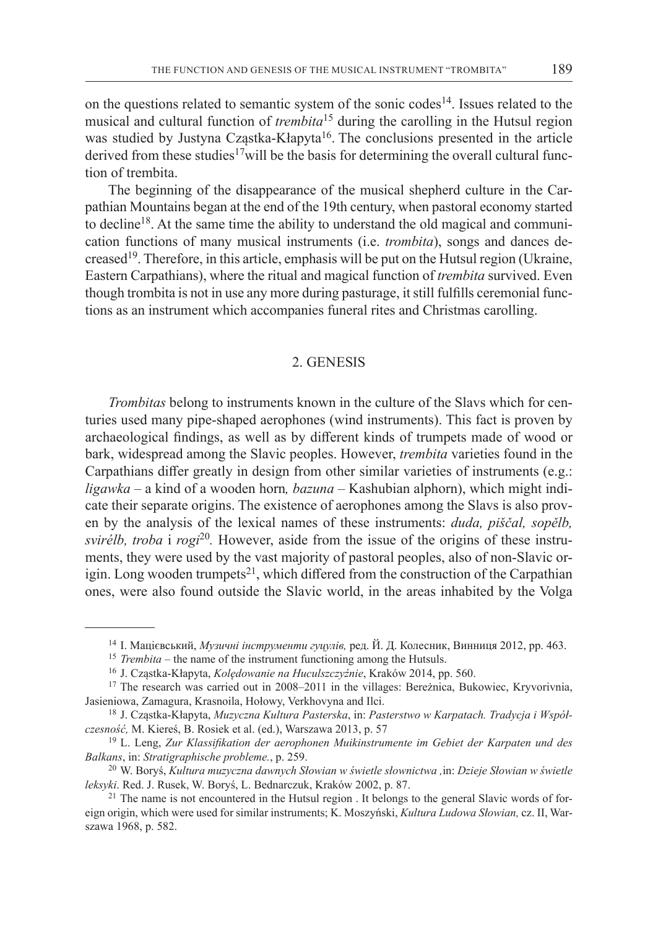on the questions related to semantic system of the sonic codes<sup>14</sup>. Issues related to the musical and cultural function of *trembita*<sup>15</sup> during the carolling in the Hutsul region was studied by Justyna Cząstka-Kłapyta<sup>16</sup>. The conclusions presented in the article derived from these studies<sup>17</sup>will be the basis for determining the overall cultural function of trembita.

The beginning of the disappearance of the musical shepherd culture in the Carpathian Mountains began at the end of the 19th century, when pastoral economy started to decline<sup>18</sup>. At the same time the ability to understand the old magical and communication functions of many musical instruments (i.e. *trombita*), songs and dances decreased19. Therefore, in this article, emphasis will be put on the Hutsul region (Ukraine, Eastern Carpathians), where the ritual and magical function of *trembita* survived. Even though trombita is not in use any more during pasturage, itstill fulfills ceremonial functions as an instrument which accompanies funeral rites and Christmas carolling.

#### 2. Genesis

*Trombitas* belong to instruments known in the culture of the Slavs which for centuries used many pipe-shaped aerophones (wind instruments). This fact is proven by archaeological findings, as well as by different kinds of trumpets made of wood or bark, widespread among the Slavic peoples. However, *trembita* varieties found in the Carpathians differ greatly in design from other similar varieties of instruments (e.g.: *ligawka –* a kind of a wooden horn*, bazuna* – Kashubian alphorn), which might indicate their separate origins. The existence of aerophones among the Slavs is also proven by the analysis of the lexical names of these instruments: *duda, piščal, sopělb, svirélb, troba* i *rogi*20*.* However, aside from the issue of the origins of these instruments, they were used by the vast majority of pastoral peoples, also of non-Slavic origin. Long wooden trumpets<sup>21</sup>, which differed from the construction of the Carpathian ones, were also found outside the Slavic world, in the areas inhabited by the Volga

<sup>14</sup> І. Мацієвський, *Музичні інструменти гуцулів,* ред. Й. Д. Колесник, Винниця 2012, pp. 463.

<sup>&</sup>lt;sup>15</sup> *Trembita* – the name of the instrument functioning among the Hutsuls.

<sup>16</sup> J. Cząstka-Kłapyta, *Kolędowanie na Huculszczyźnie*, Kraków 2014, pp. 560.

<sup>&</sup>lt;sup>17</sup> The research was carried out in 2008–2011 in the villages: Bereżnica, Bukowiec, Kryvorivnia, Jasieniowa, Zamagura, Krasnoila, Hołowy, Verkhovyna and Ilci.

<sup>18</sup> J. Cząstka-Kłapyta, *Muzyczna Kultura Pasterska*, in: *Pasterstwo w Karpatach. Tradycja i Współczesność,* M. Kiereś, B. Rosiek et al. (ed.), Warszawa 2013, p. 57

<sup>19</sup> L. Leng, *Zur Klassifikation der aerophonen Muikinstrumente im Gebiet der Karpaten und des Balkans*, in: *Stratigraphische probleme.*, p. 259.

<sup>20</sup> W. Boryś, *Kultura muzyczna dawnych Słowian w świetle słownictwa ,*in: *Dzieje Słowian w świetle leksyki*. Red. J. Rusek, W. Boryś, L. Bednarczuk, Kraków 2002, p. 87.

<sup>&</sup>lt;sup>21</sup> The name is not encountered in the Hutsul region . It belongs to the general Slavic words of foreign origin, which were used for similar instruments; K. Moszyński, *Kultura Ludowa Słowian,* cz. II, Warszawa 1968, p. 582.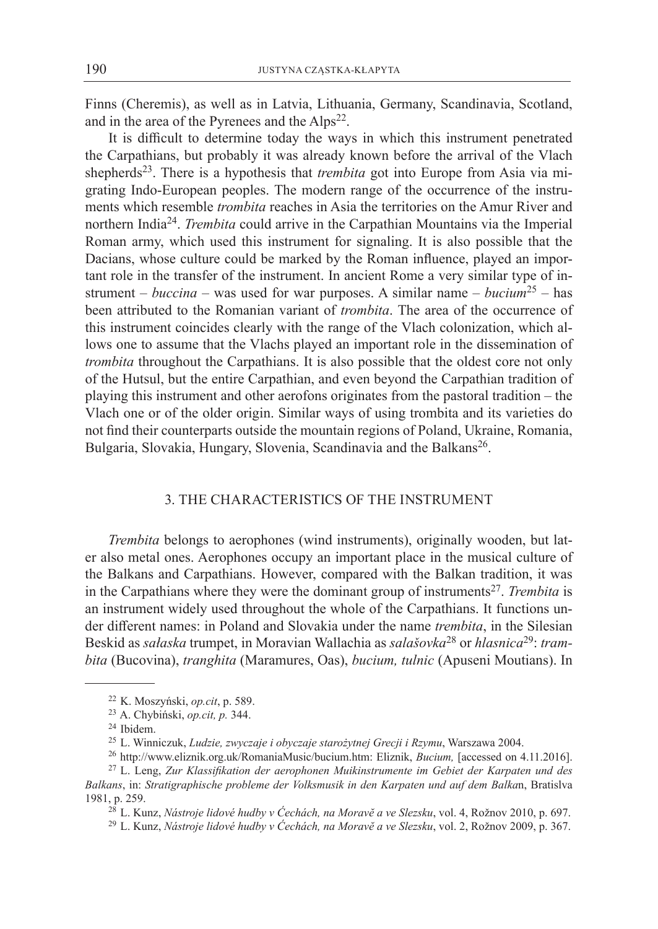Finns (Cheremis), as well as in Latvia, Lithuania, Germany, Scandinavia, Scotland, and in the area of the Pyrenees and the  $Alps^{22}$ .

It is difficult to determine today the ways in which this instrument penetrated the Carpathians, but probably it was already known before the arrival of the Vlach shepherds<sup>23</sup>. There is a hypothesis that *trembita* got into Europe from Asia via migrating Indo-European peoples. The modern range of the occurrence of the instruments which resemble *trombita* reaches in Asia the territories on the Amur River and northern India<sup>24</sup>. *Trembita* could arrive in the Carpathian Mountains via the Imperial Roman army, which used this instrument for signaling. It is also possible that the Dacians, whose culture could be marked by the Roman influence, played an important role in the transfer of the instrument. In ancient Rome a very similar type of instrument – *buccina –* was used for war purposes. A similar name – *bucium*<sup>25</sup> – has been attributed to the Romanian variant of *trombita*. The area of the occurrence of this instrument coincides clearly with the range of the Vlach colonization, which allows one to assume that the Vlachs played an important role in the dissemination of *trombita* throughout the Carpathians. It is also possible that the oldest core not only of the Hutsul, but the entire Carpathian, and even beyond the Carpathian tradition of playing this instrument and other aerofons originates from the pastoral tradition – the Vlach one or of the older origin. Similar ways of using trombita and its varieties do not find their counterparts outside the mountain regions of Poland, Ukraine, Romania, Bulgaria, Slovakia, Hungary, Slovenia, Scandinavia and the Balkans<sup>26</sup>.

## 3. The characteristics of the instrument

*Trembita* belongs to aerophones (wind instruments), originally wooden, but later also metal ones. Aerophones occupy an important place in the musical culture of the Balkans and Carpathians. However, compared with the Balkan tradition, it was in the Carpathians where they were the dominant group of instruments<sup>27</sup>. *Trembita* is an instrument widely used throughout the whole of the Carpathians. It functions under different names: in Poland and Slovakia under the name *trembita*, in the Silesian Beskid as *sałaska* trumpet, in Moravian Wallachia as *salašovka*28 or *hlasnica*29: *trambita* (Bucovina), *tranghita* (Maramures, Oas), *bucium, tulnic* (Apuseni Moutians). In

<sup>22</sup> K. Moszyński, *op.cit*, p. 589.

<sup>23</sup> A. Chybiński, *op.cit, p.* 344.

<sup>24</sup> Ibidem.

<sup>25</sup> L. Winniczuk, *Ludzie, zwyczaje i obyczaje starożytnej Grecji i Rzymu*, Warszawa 2004.

<sup>26</sup> http://www.eliznik.org.uk/RomaniaMusic/bucium.htm: Eliznik, *Bucium,* [accessed on 4.11.2016].

<sup>27</sup> L. Leng, *Zur Klassifikation der aerophonen Muikinstrumente im Gebiet der Karpaten und des Balkans*, in: *Stratigraphische probleme der Volksmusik in den Karpaten und auf dem Balka*n, Bratislva 1981, p. 259.

<sup>28</sup> L. Kunz, *Nástroje lidové hudby v Ćechách, na Moravĕ a ve Slezsku*, vol. 4, Rožnov 2010, p. 697.

<sup>29</sup> L. Kunz, *Nástroje lidové hudby v Ćechách, na Moravĕ a ve Slezsku*, vol. 2, Rožnov 2009, p. 367.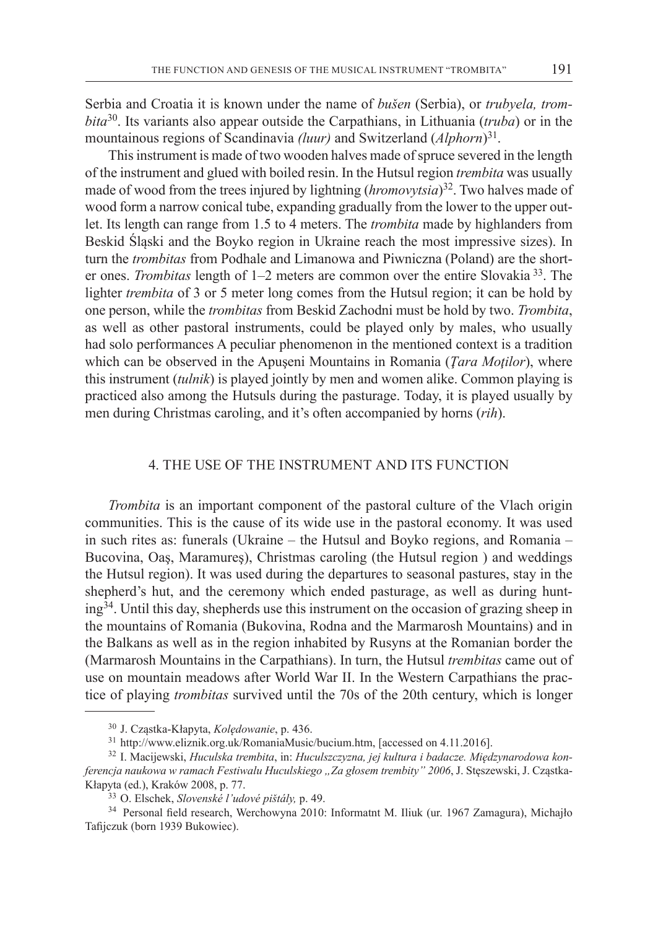Serbia and Croatia it is known under the name of *bušen* (Serbia), or *trubyela, trombita*<sup>30</sup>. Its variants also appear outside the Carpathians, in Lithuania (*truba*) or in the mountainous regions of Scandinavia *(luur)* and Switzerland (*Alphorn*)<sup>31</sup>.

This instrument is made of two wooden halves made of spruce severed in the length of the instrument and glued with boiled resin. In the Hutsul region *trembita* was usually made of wood from the trees injured by lightning (*hromovytsia*) <sup>32</sup>. Two halves made of wood form a narrow conical tube, expanding gradually from the lower to the upper outlet. Its length can range from 1.5 to 4 meters. The *trombita* made by highlanders from Beskid Śląski and the Boyko region in Ukraine reach the most impressive sizes). In turn the *trombitas* from Podhale and Limanowa and Piwniczna (Poland) are the shorter ones. *Trombitas* length of 1–2 meters are common over the entire Slovakia <sup>33</sup>. The lighter *trembita* of 3 or 5 meter long comes from the Hutsul region; it can be hold by one person, while the *trombitas* from Beskid Zachodni must be hold by two. *Trombita*, as well as other pastoral instruments, could be played only by males, who usually had solo performances A peculiar phenomenon in the mentioned context is a tradition which can be observed in the Apuşeni Mountains in Romania (*Ţara Moţilor*), where this instrument (*tulnik*) is played jointly by men and women alike. Common playing is practiced also among the Hutsuls during the pasturage. Today, it is played usually by men during Christmas caroling, and it's often accompanied by horns (*rih*).

## 4. The use of the instrument and its function

*Trombita* is an important component of the pastoral culture of the Vlach origin communities. This is the cause of its wide use in the pastoral economy. It was used in such rites as: funerals (Ukraine – the Hutsul and Boyko regions, and Romania – Bucovina, Oaş, Maramureş), Christmas caroling (the Hutsul region ) and weddings the Hutsul region). It was used during the departures to seasonal pastures, stay in the shepherd's hut, and the ceremony which ended pasturage, as well as during hunt $ing<sup>34</sup>$ . Until this day, shepherds use this instrument on the occasion of grazing sheep in the mountains of Romania (Bukovina, Rodna and the Marmarosh Mountains) and in the Balkans as well as in the region inhabited by Rusyns at the Romanian border the (Marmarosh Mountains in the Carpathians). In turn, the Hutsul *trembitas* came out of use on mountain meadows after World War II. In the Western Carpathians the practice of playing *trombitas* survived until the 70s of the 20th century, which is longer

<sup>30</sup> J. Cząstka-Kłapyta, *Kolędowanie*, p. 436.

<sup>31</sup> http://www.eliznik.org.uk/RomaniaMusic/bucium.htm, [accessed on 4.11.2016].

<sup>32</sup> I. Macijewski, *Huculska trembita*, in: *Huculszczyzna, jej kultura i badacze. Międzynarodowa konferencja naukowa w ramach Festiwalu Huculskiego "Za głosem trembity" 2006*, J. Stęszewski, J. Cząstka-Kłapyta (ed.), Kraków 2008, p. 77.

<sup>33</sup> O. Elschek, *Slovenské l'udové pištály,* p. 49.

<sup>34</sup> Personal field research, Werchowyna 2010: Informatnt M. Iliuk (ur. 1967 Zamagura), Michajło Tafijczuk (born 1939 Bukowiec).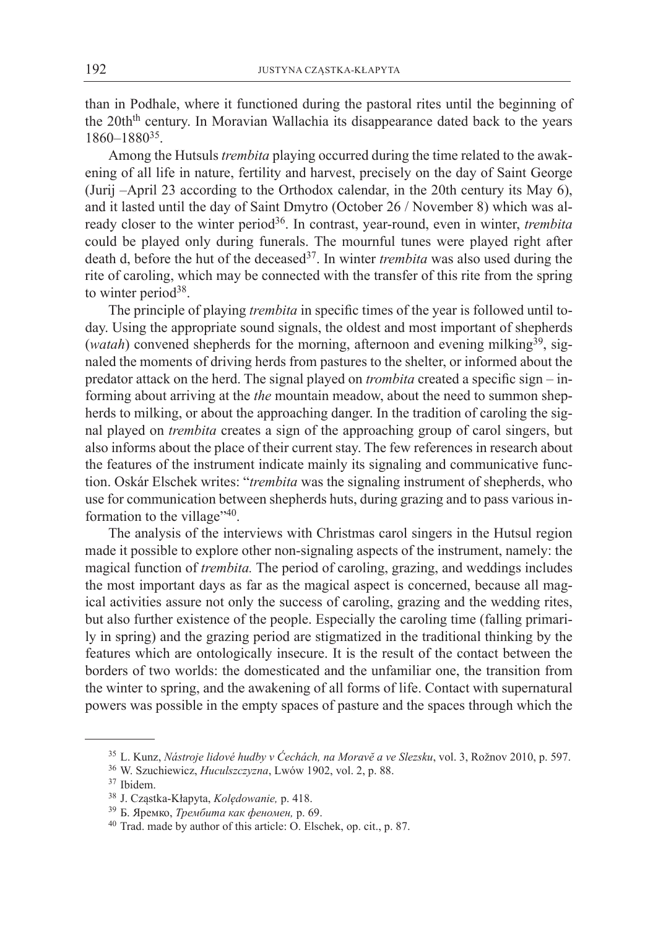than in Podhale, where it functioned during the pastoral rites until the beginning of the 20th<sup>th</sup> century. In Moravian Wallachia its disappearance dated back to the years 1860–188035.

Among the Hutsuls *trembita* playing occurred during the time related to the awakening of all life in nature, fertility and harvest, precisely on the day of Saint George (Jurij –April 23 according to the Orthodox calendar, in the 20th century its May 6), and it lasted until the day of Saint Dmytro (October 26 / November 8) which was already closer to the winter period<sup>36</sup>. In contrast, year-round, even in winter, *trembita* could be played only during funerals. The mournful tunes were played right after death d, before the hut of the deceased<sup>37</sup>. In winter *trembita* was also used during the rite of caroling, which may be connected with the transfer of this rite from the spring to winter period<sup>38</sup>.

The principle of playing *trembita* in specific times of the year is followed until today. Using the appropriate sound signals, the oldest and most important of shepherds (*watah*) convened shepherds for the morning, afternoon and evening milking<sup>39</sup>, signaled the moments of driving herds from pastures to the shelter, or informed about the predator attack on the herd. The signal played on *trombita* created a specific sign – informing about arriving at the *the* mountain meadow, about the need to summon shepherds to milking, or about the approaching danger. In the tradition of caroling the signal played on *trembita* creates a sign of the approaching group of carol singers, but also informs about the place of their current stay. The few references in research about the features of the instrument indicate mainly its signaling and communicative function. Oskár Elschek writes: "*trembita* was the signaling instrument of shepherds, who use for communication between shepherds huts, during grazing and to pass various information to the village" $40$ .

The analysis of the interviews with Christmas carol singers in the Hutsul region made it possible to explore other non-signaling aspects of the instrument, namely: the magical function of *trembita.* The period of caroling, grazing, and weddings includes the most important days as far as the magical aspect is concerned, because all magical activities assure not only the success of caroling, grazing and the wedding rites, but also further existence of the people. Especially the caroling time (falling primarily in spring) and the grazing period are stigmatized in the traditional thinking by the features which are ontologically insecure. It is the result of the contact between the borders of two worlds: the domesticated and the unfamiliar one, the transition from the winter to spring, and the awakening of all forms of life. Contact with supernatural powers was possible in the empty spaces of pasture and the spaces through which the

<sup>35</sup> L. Kunz, *Nástroje lidové hudby v Ćechách, na Moravĕ a ve Slezsku*, vol. 3, Rožnov 2010, p. 597.

<sup>36</sup> W. Szuchiewicz, *Huculszczyzna*, Lwów 1902, vol. 2, p. 88.

<sup>37</sup> Ibidem.

<sup>38</sup> J. Cząstka-Kłapyta, *Kolędowanie,* p. 418.

<sup>39</sup> Б. Яремко, *Трембита как феномен,* p. 69.

<sup>40</sup> Trad. made by author of this article: O. Elschek, op. cit., p. 87.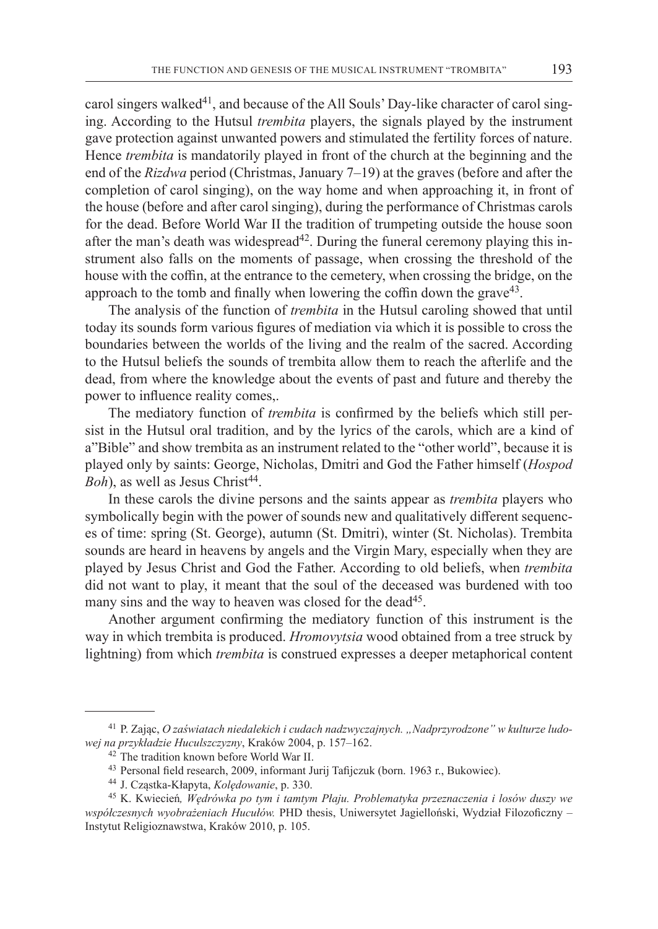carol singers walked<sup>41</sup>, and because of the All Souls' Day-like character of carol singing. According to the Hutsul *trembita* players, the signals played by the instrument gave protection against unwanted powers and stimulated the fertility forces of nature. Hence *trembita* is mandatorily played in front of the church at the beginning and the end of the *Rizdwa* period (Christmas, January 7–19) at the graves (before and after the completion of carol singing), on the way home and when approaching it, in front of the house (before and after carol singing), during the performance of Christmas carols for the dead. Before World War II the tradition of trumpeting outside the house soon after the man's death was widespread<sup>42</sup>. During the funeral ceremony playing this instrument also falls on the moments of passage, when crossing the threshold of the house with the coffin, at the entrance to the cemetery, when crossing the bridge, on the approach to the tomb and finally when lowering the coffin down the grave  $43$ .

The analysis of the function of *trembita* in the Hutsul caroling showed that until today its sounds form various figures of mediation via which it is possible to cross the boundaries between the worlds of the living and the realm of the sacred. According to the Hutsul beliefs the sounds of trembita allow them to reach the afterlife and the dead, from where the knowledge about the events of past and future and thereby the power to influence reality comes,.

The mediatory function of *trembita* is confirmed by the beliefs which still persist in the Hutsul oral tradition, and by the lyrics of the carols, which are a kind of a"Bible" and show trembita as an instrument related to the "other world", because it is played only by saints: George, Nicholas, Dmitri and God the Father himself (*Hospod Boh*), as well as Jesus Christ<sup>44</sup>.

In these carols the divine persons and the saints appear as *trembita* players who symbolically begin with the power of sounds new and qualitatively different sequences of time: spring (St. George), autumn (St. Dmitri), winter (St. Nicholas). Trembita sounds are heard in heavens by angels and the Virgin Mary, especially when they are played by Jesus Christ and God the Father. According to old beliefs, when *trembita* did not want to play, it meant that the soul of the deceased was burdened with too many sins and the way to heaven was closed for the dead<sup>45</sup>.

Another argument confirming the mediatory function of this instrument is the way in which trembita is produced. *Hromovytsia* wood obtained from a tree struck by lightning) from which *trembita* is construed expresses a deeper metaphorical content

<sup>41</sup> P. Zając, *O zaświatach niedalekich i cudach nadzwyczajnych. "Nadprzyrodzone" w kulturze ludowej na przykładzie Huculszczyzny*, Kraków 2004, p. 157–162.

<sup>42</sup> The tradition known before World War II.

<sup>43</sup> Personal field research, 2009, informant Jurij Tafijczuk (born. 1963 r., Bukowiec).

<sup>44</sup> J. Cząstka-Kłapyta, *Kolędowanie*, p. 330.

<sup>45</sup> K. Kwiecień*, Wędrówka po tym i tamtym Płaju. Problematyka przeznaczenia i losów duszy we współczesnych wyobrażeniach Hucułów.* PHD thesis, Uniwersytet Jagielloński, Wydział Filozoficzny – Instytut Religioznawstwa, Kraków 2010, p. 105.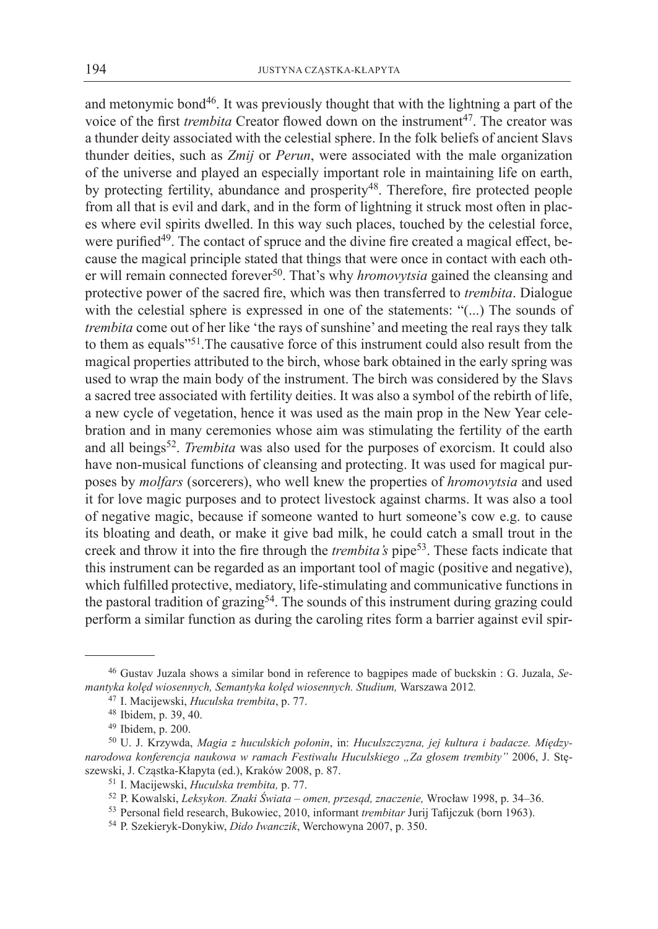and metonymic bond<sup>46</sup>. It was previously thought that with the lightning a part of the voice of the first *trembita* Creator flowed down on the instrument<sup>47</sup>. The creator was a thunder deity associated with the celestial sphere. In the folk beliefs of ancient Slavs thunder deities, such as *Zmij* or *Perun*, were associated with the male organization of the universe and played an especially important role in maintaining life on earth, by protecting fertility, abundance and prosperity<sup>48</sup>. Therefore, fire protected people from all that is evil and dark, and in the form of lightning it struck most often in places where evil spirits dwelled. In this way such places, touched by the celestial force, were purified<sup>49</sup>. The contact of spruce and the divine fire created a magical effect, because the magical principle stated that things that were once in contact with each other will remain connected forever50. That's why *hromovytsia* gained the cleansing and protective power of the sacred fire, which was then transferred to *trembita*. Dialogue with the celestial sphere is expressed in one of the statements: "(...) The sounds of *trembita* come out of her like 'the rays of sunshine' and meeting the real rays they talk to them as equals"51.The causative force of this instrument could also result from the magical properties attributed to the birch, whose bark obtained in the early spring was used to wrap the main body of the instrument. The birch was considered by the Slavs a sacred tree associated with fertility deities. It was also a symbol of the rebirth of life, a new cycle of vegetation, hence it was used as the main prop in the New Year celebration and in many ceremonies whose aim was stimulating the fertility of the earth and all beings<sup>52</sup>. *Trembita* was also used for the purposes of exorcism. It could also have non-musical functions of cleansing and protecting. It was used for magical purposes by *molfars* (sorcerers), who well knew the properties of *hromovytsia* and used it for love magic purposes and to protect livestock against charms. It was also a tool of negative magic, because if someone wanted to hurt someone's cow e.g. to cause its bloating and death, or make it give bad milk, he could catch a small trout in the creek and throw it into the fire through the *trembita's* pipe<sup>53</sup>. These facts indicate that this instrument can be regarded as an important tool of magic (positive and negative), which fulfilled protective, mediatory, life-stimulating and communicative functions in the pastoral tradition of grazing<sup>54</sup>. The sounds of this instrument during grazing could perform a similar function as during the caroling rites form a barrier against evil spir-

<sup>&</sup>lt;sup>46</sup> Gustav Juzala shows a similar bond in reference to bagpipes made of buckskin : G. Juzala, Se*mantyka kolęd wiosennych, Semantyka kolęd wiosennych. Studium,* Warszawa 2012*.*

<sup>47</sup> I. Macijewski, *Huculska trembita*, p. 77.

<sup>48</sup> Ibidem, p. 39, 40.

<sup>49</sup> Ibidem, p. 200.

<sup>50</sup> U. J. Krzywda, *Magia z huculskich połonin*, in: *Huculszczyzna, jej kultura i badacze. Międzynarodowa konferencja naukowa w ramach Festiwalu Huculskiego "Za głosem trembity"* 2006, J. Stęszewski, J. Cząstka-Kłapyta (ed.), Kraków 2008, p. 87.

<sup>51</sup> I. Macijewski, *Huculska trembita,* p. 77.

<sup>52</sup> P. Kowalski, *Leksykon. Znaki Świata – omen, przesąd, znaczenie,* Wrocław 1998, p. 34–36.

<sup>53</sup> Personal field research, Bukowiec, 2010, informant *trembitar* Jurij Tafijczuk (born 1963).

<sup>54</sup> P. Szekieryk-Donykiw, *Dido Iwanczik*, Werchowyna 2007, p. 350.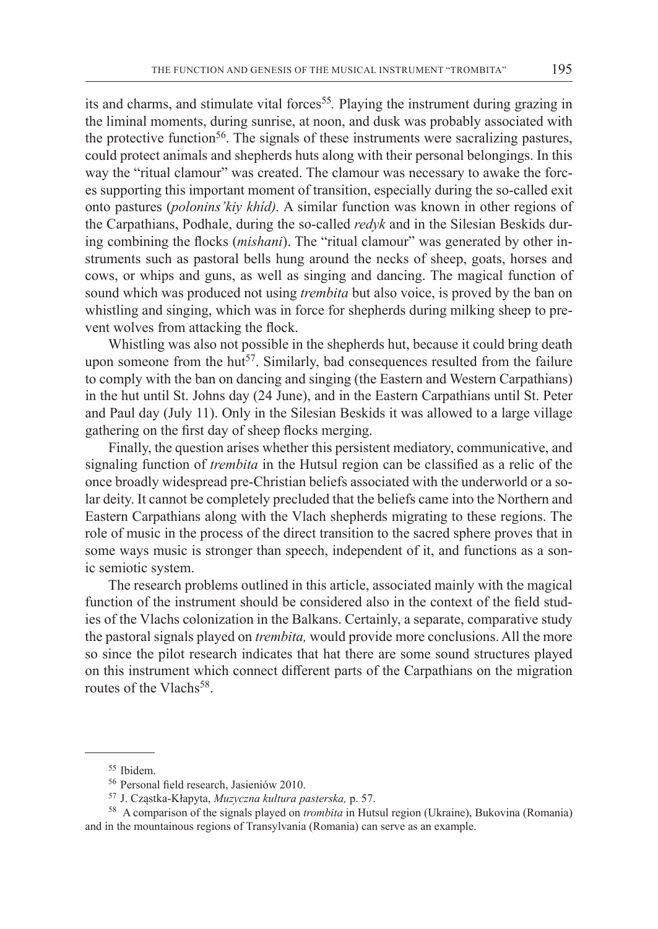its and charms, and stimulate vital forces<sup>55</sup>. Playing the instrument during grazing in the liminal moments, during sunrise, at noon, and dusk was probably associated with the protective function<sup>56</sup>. The signals of these instruments were sacralizing pastures, could protect animals and shepherds huts along with their personal belongings. In this way the "ritual clamour" was created. The clamour was necessary to awake the forces supporting this important moment of transition, especially during the so-called exit onto pastures (*polonins'kiy khíd).* A similar function was known in other regions of the Carpathians, Podhale, during the so-called *redyk* and in the Silesian Beskids during combining the flocks (*mishani*). The "ritual clamour" was generated by other instruments such as pastoral bells hung around the necks of sheep, goats, horses and cows, or whips and guns, as well as singing and dancing. The magical function of sound which was produced not using *trembita* but also voice, is proved by the ban on whistling and singing, which was in force for shepherds during milking sheep to prevent wolves from attacking the flock.

Whistling was also not possible in the shepherds hut, because it could bring death upon someone from the hut<sup>57</sup>. Similarly, bad consequences resulted from the failure to comply with the ban on dancing and singing (the Eastern and Western Carpathians) in the hut until St. Johns day (24 June), and in the Eastern Carpathians until St. Peter and Paul day (July 11). Only in the Silesian Beskids it was allowed to a large village gathering on the first day of sheep flocks merging.

Finally, the question arises whether this persistent mediatory, communicative, and signaling function of *trembita* in the Hutsul region can be classified as a relic of the once broadly widespread pre-Christian beliefs associated with the underworld or a solar deity. It cannot be completely precluded that the beliefs came into the Northern and Eastern Carpathians along with the Vlach shepherds migrating to these regions. The role of music in the process of the direct transition to the sacred sphere proves that in some ways music is stronger than speech, independent of it, and functions as a sonic semiotic system.

The research problems outlined in this article, associated mainly with the magical function of the instrument should be considered also in the context of the field studies of the Vlachs colonization in the Balkans. Certainly, a separate, comparative study the pastoral signals played on *trembita,* would provide more conclusions. All the more so since the pilot research indicates that hat there are some sound structures played on this instrument which connect different parts of the Carpathians on the migration routes of the Vlachs<sup>58</sup>.

<sup>55</sup> Ibidem.

<sup>56</sup> Personal field research, Jasieniów 2010.

<sup>57</sup> J. Cząstka-Kłapyta, *Muzyczna kultura pasterska,* p. 57.

<sup>58</sup> A comparison of the signals played on *trombita* in Hutsul region (Ukraine), Bukovina (Romania) and in the mountainous regions of Transylvania (Romania) can serve as an example.